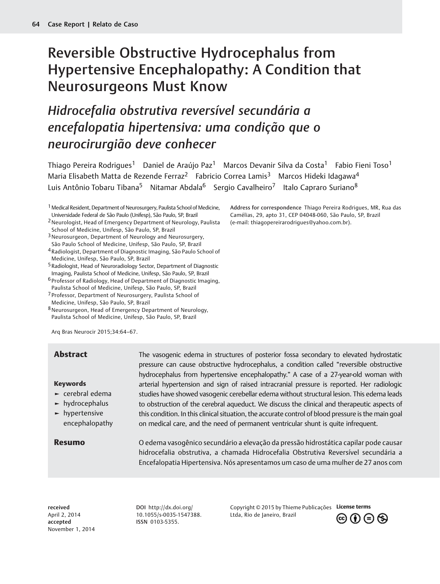# Reversible Obstructive Hydrocephalus from Hypertensive Encephalopathy: A Condition that Neurosurgeons Must Know

# Hidrocefalia obstrutiva reversível secundária a encefalopatia hipertensiva: uma condição que o neurocirurgião deve conhecer

Thiago Pereira Rodrigues<sup>1</sup> Daniel de Araújo Paz<sup>1</sup> Marcos Devanir Silva da Costa<sup>1</sup> Fabio Fieni Toso<sup>1</sup> Maria Elisabeth Matta de Rezende Ferraz<sup>2</sup> Fabricio Correa Lamis<sup>3</sup> Marcos Hideki Idagawa<sup>4</sup> Luis Antônio Tobaru Tibana<sup>5</sup> Nitamar Abdala<sup>6</sup> Sergio Cavalheiro<sup>7</sup> Italo Capraro Suriano<sup>8</sup>

- 3Neurosurgeon, Department of Neurology and Neurosurgery, São Paulo School of Medicine, Unifesp, São Paulo, SP, Brazil
- 4Radiologist, Department of Diagnostic Imaging, São Paulo School of Medicine, Unifesp, São Paulo, SP, Brazil
- 5Radiologist, Head of Neuroradiology Sector, Department of Diagnostic Imaging, Paulista School of Medicine, Unifesp, São Paulo, SP, Brazil
- 6 Professor of Radiology, Head of Department of Diagnostic Imaging, Paulista School of Medicine, Unifesp, São Paulo, SP, Brazil
- 7 Professor, Department of Neurosurgery, Paulista School of Medicine, Unifesp, São Paulo, SP, Brazil
- 8Neurosurgeon, Head of Emergency Department of Neurology, Paulista School of Medicine, Unifesp, São Paulo, SP, Brazil

Arq Bras Neurocir 2015;34:64–67.

### Keywords

- ► cerebral edema
- ► hydrocephalus
- ► hypertensive encephalopathy

Abstract The vasogenic edema in structures of posterior fossa secondary to elevated hydrostatic pressure can cause obstructive hydrocephalus, a condition called "reversible obstructive hydrocephalus from hypertensive encephalopathy." A case of a 27-year-old woman with arterial hypertension and sign of raised intracranial pressure is reported. Her radiologic studies have showed vasogenic cerebellar edema without structural lesion. This edema leads to obstruction of the cerebral aqueduct. We discuss the clinical and therapeutic aspects of this condition. In this clinical situation, the accurate control of blood pressure is the main goal on medical care, and the need of permanent ventricular shunt is quite infrequent.

Resumo O edema vasogênico secundário a elevação da pressão hidrostática capilar pode causar hidrocefalia obstrutiva, a chamada Hidrocefalia Obstrutiva Reversível secundária a Encefalopatia Hipertensiva. Nós apresentamos um caso de uma mulher de 27 anos com

received April 2, 2014 accepted November 1, 2014

DOI [http://dx.doi.org/](http://dx.doi.org/10.1055/s-0035-1547388) [10.1055/s-0035-1547388](http://dx.doi.org/10.1055/s-0035-1547388). ISSN 0103-5355.

Copyright © 2015 by Thieme Publicações Ltda, Rio de Janeiro, Brazil



Address for correspondence Thiago Pereira Rodrigues, MR, Rua das Camélias, 29, apto 31, CEP 04048-060, São Paulo, SP, Brazil (e-mail: [thiagopereirarodrigues@yahoo.com.br](mailto:thiagopereirarodrigues@yahoo.com.br)).

<sup>1</sup>Medical Resident, Department of Neurosurgery, Paulista School of Medicine, Universidade Federal de São Paulo (Unifesp), São Paulo, SP, Brazil

<sup>2</sup>Neurologist, Head of Emergency Department of Neurology, Paulista School of Medicine, Unifesp, São Paulo, SP, Brazil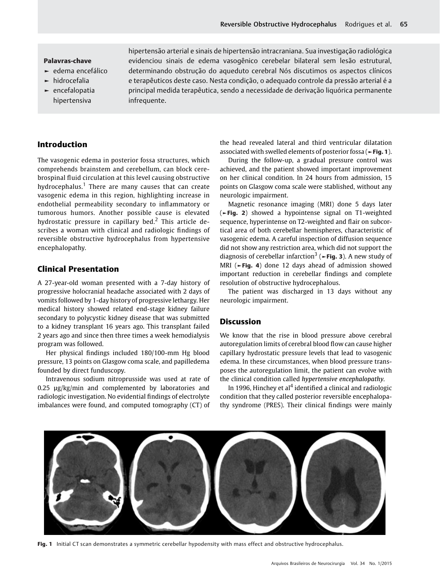#### Palavras-chave

- ► edema encefálico
- ► hidrocefalia
- ► encefalopatia hipertensiva

hipertensão arterial e sinais de hipertensão intracraniana. Sua investigação radiológica evidenciou sinais de edema vasogênico cerebelar bilateral sem lesão estrutural, determinando obstrução do aqueduto cerebral Nós discutimos os aspectos clínicos e terapêuticos deste caso. Nesta condição, o adequado controle da pressão arterial é a principal medida terapêutica, sendo a necessidade de derivação liquórica permanente infrequente.

## Introduction

The vasogenic edema in posterior fossa structures, which comprehends brainstem and cerebellum, can block cerebrospinal fluid circulation at this level causing obstructive hydrocephalus.<sup>1</sup> There are many causes that can create vasogenic edema in this region, highlighting increase in endothelial permeability secondary to inflammatory or tumorous humors. Another possible cause is elevated hydrostatic pressure in capillary bed.<sup>2</sup> This article describes a woman with clinical and radiologic findings of reversible obstructive hydrocephalus from hypertensive encephalopathy.

### Clinical Presentation

A 27-year-old woman presented with a 7-day history of progressive holocranial headache associated with 2 days of vomits followed by 1-day history of progressive lethargy. Her medical history showed related end-stage kidney failure secondary to polycystic kidney disease that was submitted to a kidney transplant 16 years ago. This transplant failed 2 years ago and since then three times a week hemodialysis program was followed.

Her physical findings included 180/100-mm Hg blood pressure, 13 points on Glasgow coma scale, and papilledema founded by direct funduscopy.

Intravenous sodium nitroprusside was used at rate of 0.25 µg/kg/min and complemented by laboratories and radiologic investigation. No evidential findings of electrolyte imbalances were found, and computed tomography (CT) of the head revealed lateral and third ventricular dilatation associated with swelled elements of posterior fossa (►Fig. 1).

During the follow-up, a gradual pressure control was achieved, and the patient showed important improvement on her clinical condition. In 24 hours from admission, 15 points on Glasgow coma scale were stablished, without any neurologic impairment.

Magnetic resonance imaging (MRI) done 5 days later (►Fig. 2) showed a hypointense signal on T1-weighted sequence, hyperintense on T2-weighted and flair on subcortical area of both cerebellar hemispheres, characteristic of vasogenic edema. A careful inspection of diffusion sequence did not show any restriction area, which did not support the diagnosis of cerebellar infarction<sup>3</sup> ( $\blacktriangleright$ Fig. 3). A new study of MRI (►Fig. 4) done 12 days ahead of admission showed important reduction in cerebellar findings and complete resolution of obstructive hydrocephalous.

The patient was discharged in 13 days without any neurologic impairment.

### Discussion

We know that the rise in blood pressure above cerebral autoregulation limits of cerebral blood flow can cause higher capillary hydrostatic pressure levels that lead to vasogenic edema. In these circumstances, when blood pressure transposes the autoregulation limit, the patient can evolve with the clinical condition called hypertensive encephalopathy.

In 1996, Hinchey et al<sup>4</sup> identified a clinical and radiologic condition that they called posterior reversible encephalopathy syndrome (PRES). Their clinical findings were mainly



Fig. 1 Initial CT scan demonstrates a symmetric cerebellar hypodensity with mass effect and obstructive hydrocephalus.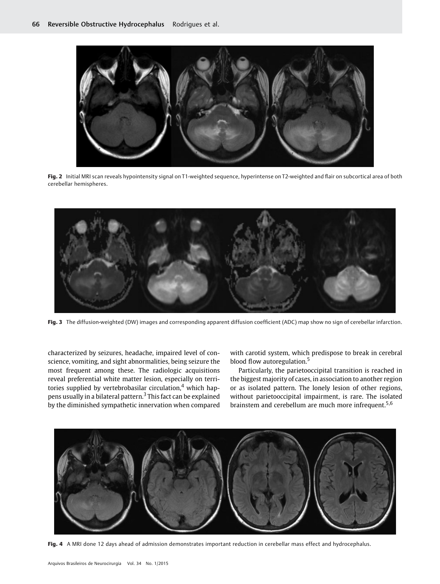

Fig. 2 Initial MRI scan reveals hypointensity signal on T1-weighted sequence, hyperintense on T2-weighted and flair on subcortical area of both cerebellar hemispheres.



Fig. 3 The diffusion-weighted (DW) images and corresponding apparent diffusion coefficient (ADC) map show no sign of cerebellar infarction.

characterized by seizures, headache, impaired level of conscience, vomiting, and sight abnormalities, being seizure the most frequent among these. The radiologic acquisitions reveal preferential white matter lesion, especially on territories supplied by vertebrobasilar circulation, $4$  which happens usually in a bilateral pattern.<sup>3</sup> This fact can be explained by the diminished sympathetic innervation when compared with carotid system, which predispose to break in cerebral blood flow autoregulation.<sup>5</sup>

Particularly, the parietooccipital transition is reached in the biggest majority of cases, in association to another region or as isolated pattern. The lonely lesion of other regions, without parietooccipital impairment, is rare. The isolated brainstem and cerebellum are much more infrequent.<sup>5,6</sup>



Fig. 4 A MRI done 12 days ahead of admission demonstrates important reduction in cerebellar mass effect and hydrocephalus.